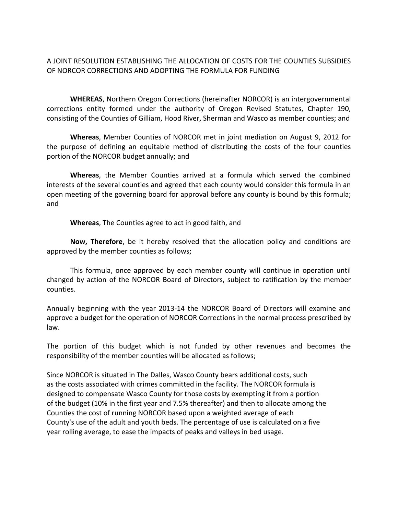A JOINT RESOLUTION ESTABLISHING THE ALLOCATION OF COSTS FOR THE COUNTIES SUBSIDIES OF NORCOR CORRECTIONS AND ADOPTING THE FORMULA FOR FUNDING

**WHEREAS**, Northern Oregon Corrections (hereinafter NORCOR) is an intergovernmental corrections entity formed under the authority of Oregon Revised Statutes, Chapter 190, consisting of the Counties of Gilliam, Hood River, Sherman and Wasco as member counties; and

**Whereas**, Member Counties of NORCOR met in joint mediation on August 9, 2012 for the purpose of defining an equitable method of distributing the costs of the four counties portion of the NORCOR budget annually; and

**Whereas**, the Member Counties arrived at a formula which served the combined interests of the several counties and agreed that each county would consider this formula in an open meeting of the governing board for approval before any county is bound by this formula; and

**Whereas**, The Counties agree to act in good faith, and

**Now, Therefore**, be it hereby resolved that the allocation policy and conditions are approved by the member counties as follows;

This formula, once approved by each member county will continue in operation until changed by action of the NORCOR Board of Directors, subject to ratification by the member counties.

Annually beginning with the year 2013‐14 the NORCOR Board of Directors will examine and approve a budget for the operation of NORCOR Corrections in the normal process prescribed by law.

The portion of this budget which is not funded by other revenues and becomes the responsibility of the member counties will be allocated as follows;

Since NORCOR is situated in The Dalles, Wasco County bears additional costs, such as the costs associated with crimes committed in the facility. The NORCOR formula is designed to compensate Wasco County for those costs by exempting it from a portion of the budget (10% in the first year and 7.5% thereafter) and then to allocate among the Counties the cost of running NORCOR based upon a weighted average of each County's use of the adult and youth beds. The percentage of use is calculated on a five year rolling average, to ease the impacts of peaks and valleys in bed usage.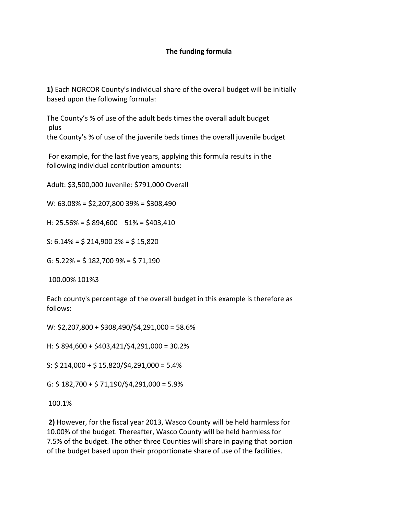## **The funding formula**

**1)** Each NORCOR County's individual share of the overall budget will be initially based upon the following formula:

The County's % of use of the adult beds times the overall adult budget plus the County's % of use of the juvenile beds times the overall juvenile budget

For example, for the last five years, applying this formula results in the following individual contribution amounts:

Adult: \$3,500,000 Juvenile: \$791,000 Overall

W: 63.08% = \$2,207,800 39% = \$308,490

H:  $25.56\% = $894,600$   $51\% = $403,410$ 

S:  $6.14\% = \frac{1}{5}214,9002\% = \frac{1}{5}15,820$ 

G:  $5.22\% = $182,700\,9\% = $71,190$ 

100.00% 101%3

Each county's percentage of the overall budget in this example is therefore as follows:

W: \$2,207,800 + \$308,490/\$4,291,000 = 58.6%

H: \$ 894,600 + \$403,421/\$4,291,000 = 30.2%

S:  $$214,000 + $15,820/\$4,291,000 = 5.4\%$ 

G:  $$182,700 + $71,190/$4,291,000 = 5.9%$ 

100.1%

**2)** However, for the fiscal year 2013, Wasco County will be held harmless for 10.00% of the budget. Thereafter, Wasco County will be held harmless for 7.5% of the budget. The other three Counties will share in paying that portion of the budget based upon their proportionate share of use of the facilities.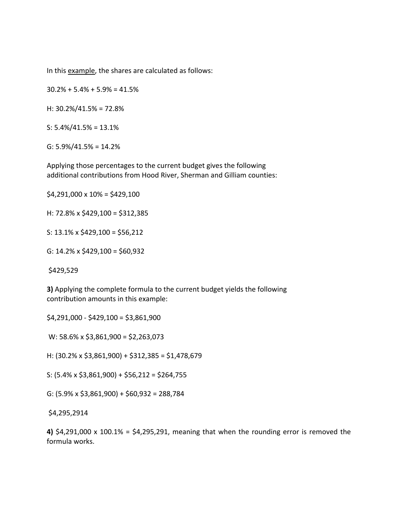In this example, the shares are calculated as follows:

 $30.2\% + 5.4\% + 5.9\% = 41.5\%$ 

H: 30.2%/41.5% = 72.8%

S: 5.4%/41.5% = 13.1%

G: 5.9%/41.5% = 14.2%

Applying those percentages to the current budget gives the following additional contributions from Hood River, Sherman and Gilliam counties:

 $$4,291,000 \times 10\% = $429,100$ 

H: 72.8% x \$429,100 = \$312,385

S:  $13.1\% \times $429,100 = $56,212$ 

G:  $14.2\% \times $429,100 = $60,932$ 

\$429,529

**3)** Applying the complete formula to the current budget yields the following contribution amounts in this example:

\$4,291,000 ‐ \$429,100 = \$3,861,900

W: 58.6% x \$3,861,900 = \$2,263,073

H: (30.2% x \$3,861,900) + \$312,385 = \$1,478,679

S:  $(5.4\% \times $3,861,900) + $56,212 = $264,755$ 

G:  $(5.9\% \times $3,861,900) + $60,932 = 288,784$ 

\$4,295,2914

**4)** \$4,291,000 x 100.1% = \$4,295,291, meaning that when the rounding error is removed the formula works.